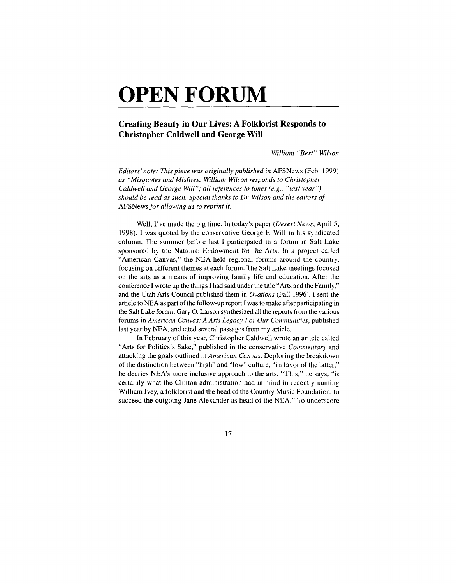## **OPEN FORUM**

## **Creating Beauty in Our Lives: A Folklorist Responds to Christopher Caldwell and George Will**

*William "Bert" Wilson* 

*Editors'note: This piece was originally published in* AFSNews (Feb. 1999) *as "Misquotes and Misfires: William Wilson responds to Christopher Caldwell and George Will"; all references to times (e.g., "last year") should be read as such. Special thanks to DI: Wilson and the editors of*  AFSNews *for allowing us to reprint it.* 

Well, I've made the big time. In today's paper *(Desert News,* April *5,*  1998), I was quoted by the conservative George F. Will in his syndicated column. The summer before last I participated in a forum in Salt Lake sponsored by the National Endowment for the Arts. In a project called "American Canvas," the NEA held regional forums around the country, focusing on different themes at each forum. The Salt Lake meetings focused on the arts as a means of improving family life and education. After the conference I wrote up the things I had said under the title "Arts and the Family," and the Utah Arts Council published them in *Ovations* (Fall 1996). *I* sent the article to NEA as part of the follow-up report I was to make after participating in the Salt Lake forum. Gary 0. Larson synthesized all the reports from the various forums in *American Canvas: A Arts Legacy For Our Communities,* published last year by NEA, and cited several passages from my article.

In February of this year, Christopher Caldwell wrote an article called "Arts for Politics's Sake," published in the conservative *Commentary* and attacking the goals outlined in *American Canvas.* Deploring the breakdown of the distinction between "high" and "low" culture, "in favor of the latter," he decries NEA's more inclusive approach to the arts. "This," he says, "is certainly what the Clinton administration had in mind in recently naming William Ivey, a folklorist and the head of the Country Music Foundation, to succeed the outgoing Jane Alexander as head of the NEA." To underscore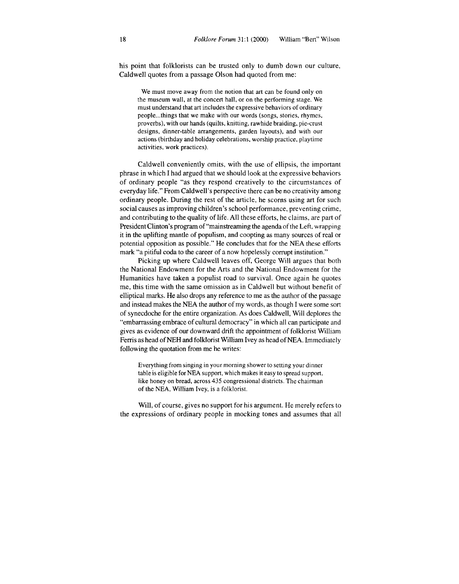his point that folklorists can be trusted only to dumb down our culture, Caldwell quotes from a passage Olson had quoted from me:

We must move away from the notion that art can be found only on the museum wall, at the concert hall, or on the performing stage. We must understand that art includes the expressive behaviors of ordinary people ... things that we make with our words (songs, stories, rhymes, proverbs), with our hands (quilts, knitting, rawhide braiding, pie-crust designs, dinner-table arrangements, garden layouts), and with our actions (birthday and holiday celebrations, worship practice, playtime activities, work practices).

Caldwell conveniently omits, with the use of ellipsis, the important phrase in which I had argued that we should look at the expressive behaviors of ordinary people "as they respond creatively to the circumstances of everyday life." From Caldwell's perspective there can be no creativity among ordinary people. During the rest of the article, he scorns using art for such social causes as improving children's school performance, preventing crime, and contributing to the quality of life. All these efforts, he claims, are part of President Clinton's program of "mainstreaming the agenda of the Left, wrapping it in the uplifting mantle of populism, and coopting as many sources of real or potential opposition as possible." He concludes that for the NEA these efforts mark "a pitiful coda to the career of a now hopelessly corrupt institution."

Picking up where Caldwell leaves off, George Will argues that both the National Endowment for the Arts and the National Endowment for the Humanities have taken a populist road to survival. Once again he quotes me, this time with the same omission as in Caldwell but without benefit of elliptical marks. He also drops any reference to me **as** the author of the passage and instead makes the NEA the author of my words, as though I were some sort of synecdoche for the entire organization. As does Caldwell, Will deplores the "embarrassing embrace of cultural democracy" in which all can participate and gives as evidence of our downward drift the appointment of folklorist William Ferris as head of NEH and folklorist William Ivey **as** head of NEA. Immediately following the quotation from me he writes:

Everything from singing in your morning shower to setting your dinner table is eligible for NEA support, which makes it easy to spread support, like honey on bread, across 435 congressional districts. The chairman of the NEA, William Ivey, is a folklorist.

Will, of course, gives no support for his argument. He merely refers to the expressions of ordinary people in mocking tones and assumes that all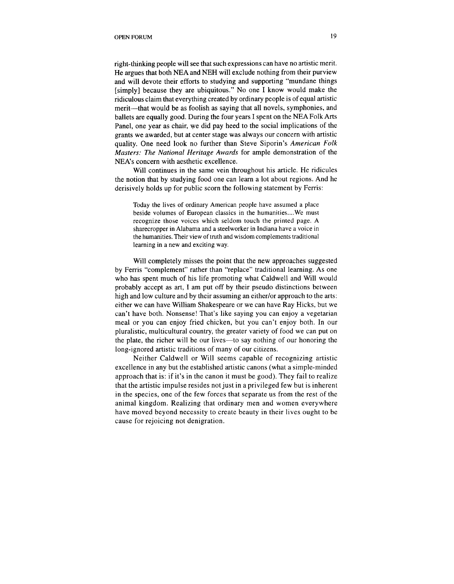right-thinking people will see that such expressions can have no artistic merit. He argues that both NEA and NEH will exclude nothing from their purview and will devote their efforts to studying and supporting "mundane things [simply] because they are ubiquitous." No one I know would make the ridiculous claim that everything created by ordinary people is of equal artistic merit—that would be as foolish as saying that all novels, symphonies, and ballets are equally good. During the four years I spent on the NEA Folk Arts Panel, one year as chair, we did pay heed to the social implications of the grants we awarded, but at center stage was always our concern with artistic quality. One need look no further than Steve Siporin's *American Folk Masters: The National Heritage Awards* for ample demonstration of the NEA's concern with aesthetic excellence.

Will continues in the same vein throughout his article. He ridicules the notion that by studying food one can learn a lot about regions. And he derisively holds up for public scorn the following statement by Ferris:

Today the lives of ordinary American people have assumed a place beside volumes of European classics in the humanities....We must recognize those voices which seldom touch the printed page. A sharecropper in Alabama and a steelworker in Indiana have a voice in the humanities. Their view of truth and wisdom complements traditional learning in a new and exciting way.

Will completely misses the point that the new approaches suggested by Ferris "complement" rather than "replace" traditional learning. As one who has spent much of his life promoting what Caldwell and Will would probably accept as art, I am put off by their pseudo distinctions between high and low culture and by their assuming an either/or approach to the arts: either we can have William Shakespeare or we can have Ray Hicks, but we can't have both. Nonsense! That's like saying you can enjoy a vegetarian meal or you can enjoy fried chicken, but you can't enjoy both. In our pluralistic, multicultural country, the greater variety of food we can put on the plate, the richer will be our lives-to say nothing of our honoring the long-ignored artistic traditions of many of our citizens.

Neither Caldwell or Will seems capable of recognizing artistic excellence in any but the established artistic canons (what a simple-minded approach that is: if it's in the canon it must be good). They fail to realize that the artistic impulse resides not just in a privileged few but is inherent in the species, one of the few forces that separate us from the rest of the animal kingdom. Realizing that ordinary men and women everywhere have moved beyond necessity to create beauty in their lives ought to be cause for rejoicing not denigration.